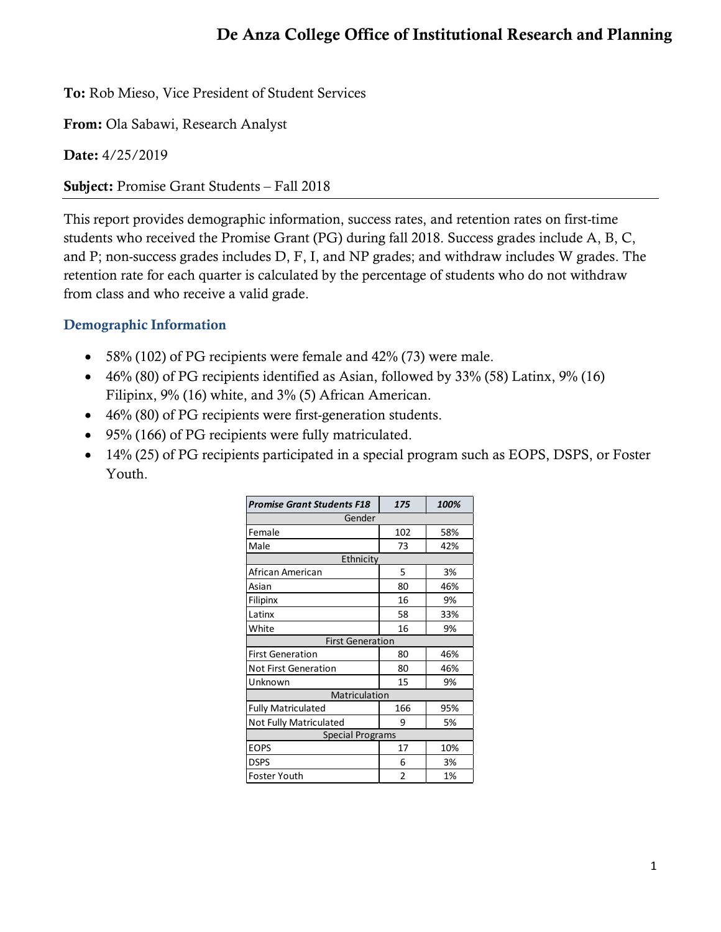## De Anza College Office of Institutional Research and Planning

To: Rob Mieso, Vice President of Student Services

From: Ola Sabawi, Research Analyst

Date: 4/25/2019

Subject: Promise Grant Students – Fall 2018

This report provides demographic information, success rates, and retention rates on first-time students who received the Promise Grant (PG) during fall 2018. Success grades include A, B, C, and P; non-success grades includes D, F, I, and NP grades; and withdraw includes W grades. The retention rate for each quarter is calculated by the percentage of students who do not withdraw from class and who receive a valid grade.

## Demographic Information

- 58% (102) of PG recipients were female and 42% (73) were male.
- $46\%$  (80) of PG recipients identified as Asian, followed by 33% (58) Latinx,  $9\%$  (16) Filipinx, 9% (16) white, and 3% (5) African American.
- 46% (80) of PG recipients were first-generation students.
- 95% (166) of PG recipients were fully matriculated.
- 14% (25) of PG recipients participated in a special program such as EOPS, DSPS, or Foster Youth.

| <b>Promise Grant Students F18</b> | 175            | 100% |  |  |  |  |  |
|-----------------------------------|----------------|------|--|--|--|--|--|
| Gender                            |                |      |  |  |  |  |  |
| Female                            | 102            | 58%  |  |  |  |  |  |
| Male                              | 73             | 42%  |  |  |  |  |  |
| Ethnicity                         |                |      |  |  |  |  |  |
| African American                  | 5              | 3%   |  |  |  |  |  |
| Asian                             | 80             | 46%  |  |  |  |  |  |
| Filipinx                          | 16             | 9%   |  |  |  |  |  |
| Latinx                            | 58             | 33%  |  |  |  |  |  |
| White                             | 16             | 9%   |  |  |  |  |  |
| <b>First Generation</b>           |                |      |  |  |  |  |  |
| <b>First Generation</b>           | 80             | 46%  |  |  |  |  |  |
| <b>Not First Generation</b>       | 80             | 46%  |  |  |  |  |  |
| Unknown                           | 15             | 9%   |  |  |  |  |  |
| Matriculation                     |                |      |  |  |  |  |  |
| <b>Fully Matriculated</b>         | 166            | 95%  |  |  |  |  |  |
| Not Fully Matriculated            | 9              | 5%   |  |  |  |  |  |
| <b>Special Programs</b>           |                |      |  |  |  |  |  |
| <b>EOPS</b>                       | 17             | 10%  |  |  |  |  |  |
| <b>DSPS</b>                       | 6              | 3%   |  |  |  |  |  |
| <b>Foster Youth</b>               | $\overline{2}$ | 1%   |  |  |  |  |  |